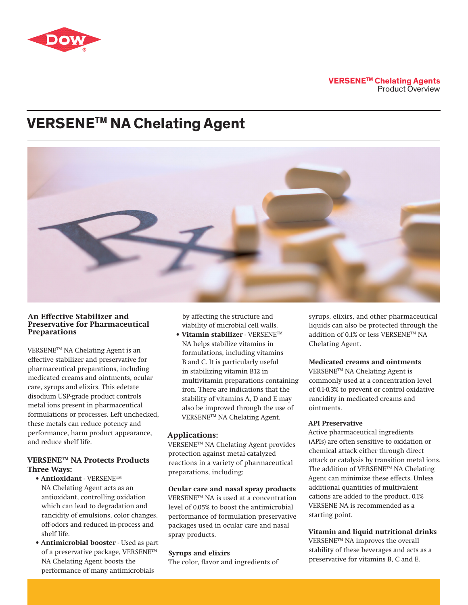

## **VERSENETM Chelating Agents** Product Overview

# **VERSENETM NA Chelating Agent**



#### **An Effective Stabilizer and Preservative for Pharmaceutical Preparations**

VERSENETM NA Chelating Agent is an effective stabilizer and preservative for pharmaceutical preparations, including medicated creams and ointments, ocular care, syrups and elixirs. This edetate disodium USP-grade product controls metal ions present in pharmaceutical formulations or processes. Left unchecked, these metals can reduce potency and performance, harm product appearance, and reduce shelf life.

## **VERSENETM NA Protects Products Three Ways:**

- **• Antioxidant**  VERSENETM NA Chelating Agent acts as an antioxidant, controlling oxidation which can lead to degradation and rancidity of emulsions, color changes, off-odors and reduced in-process and shelf life.
- **• Antimicrobial booster**  Used as part of a preservative package, VERSENE™ NA Chelating Agent boosts the performance of many antimicrobials

by affecting the structure and viability of microbial cell walls.

**• Vitamin stabilizer** - VERSENETM NA helps stabilize vitamins in formulations, including vitamins B and C. It is particularly useful in stabilizing vitamin B12 in multivitamin preparations containing iron. There are indications that the stability of vitamins A, D and E may also be improved through the use of VERSENETM NA Chelating Agent.

## **Applications:**

VERSENETM NA Chelating Agent provides protection against metal-catalyzed reactions in a variety of pharmaceutical preparations, including:

## **Ocular care and nasal spray products**

VERSENETM NA is used at a concentration level of 0.05% to boost the antimicrobial performance of formulation preservative packages used in ocular care and nasal spray products.

#### **Syrups and elixirs**

The color, flavor and ingredients of

syrups, elixirs, and other pharmaceutical liquids can also be protected through the addition of 0.1% or less VERSENETM NA Chelating Agent.

## **Medicated creams and ointments**

VERSENETM NA Chelating Agent is commonly used at a concentration level of 0.1-0.3% to prevent or control oxidative rancidity in medicated creams and ointments.

### **API Preservative**

Active pharmaceutical ingredients (APIs) are often sensitive to oxidation or chemical attack either through direct attack or catalysis by transition metal ions. The addition of VERSENE™ NA Chelating Agent can minimize these effects. Unless additional quantities of multivalent cations are added to the product, 0.1% VERSENE NA is recommended as a starting point.

**Vitamin and liquid nutritional drinks** VERSENETM NA improves the overall stability of these beverages and acts as a preservative for vitamins B, C and E.